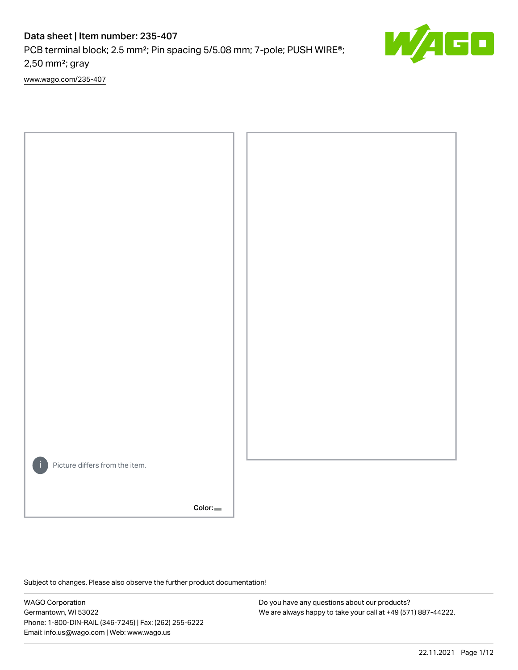# Data sheet | Item number: 235-407

PCB terminal block; 2.5 mm²; Pin spacing 5/5.08 mm; 7-pole; PUSH WIRE®; 2,50 mm²; gray

[www.wago.com/235-407](http://www.wago.com/235-407)



Color:

Subject to changes. Please also observe the further product documentation!

WAGO Corporation Germantown, WI 53022 Phone: 1-800-DIN-RAIL (346-7245) | Fax: (262) 255-6222 Email: info.us@wago.com | Web: www.wago.us

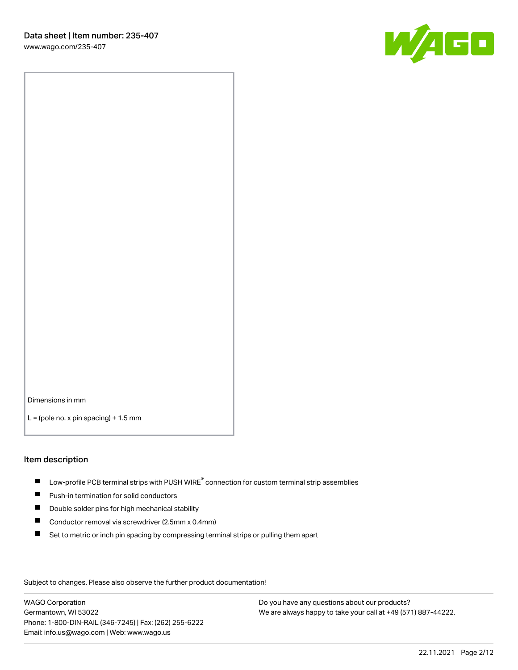

Dimensions in mm

 $L =$  (pole no. x pin spacing) + 1.5 mm

#### Item description

- $\blacksquare$  Low-profile PCB terminal strips with PUSH WIRE<sup>®</sup> connection for custom terminal strip assemblies
- **Push-in termination for solid conductors**
- $\blacksquare$ Double solder pins for high mechanical stability
- $\blacksquare$ Conductor removal via screwdriver (2.5mm x 0.4mm)
- $\blacksquare$ Set to metric or inch pin spacing by compressing terminal strips or pulling them apart

Subject to changes. Please also observe the further product documentation!

WAGO Corporation Germantown, WI 53022 Phone: 1-800-DIN-RAIL (346-7245) | Fax: (262) 255-6222 Email: info.us@wago.com | Web: www.wago.us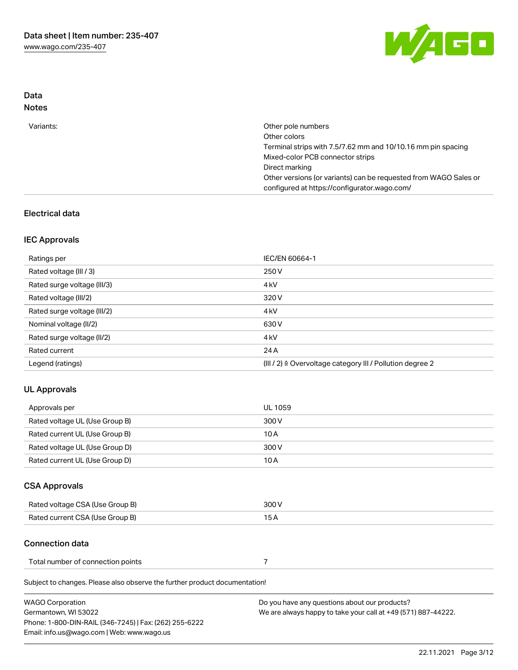

## Data Notes

| Variants: | Other pole numbers                                                                                               |
|-----------|------------------------------------------------------------------------------------------------------------------|
|           | Other colors                                                                                                     |
|           | Terminal strips with 7.5/7.62 mm and 10/10.16 mm pin spacing                                                     |
|           | Mixed-color PCB connector strips                                                                                 |
|           | Direct marking                                                                                                   |
|           | Other versions (or variants) can be requested from WAGO Sales or<br>configured at https://configurator.wago.com/ |
|           |                                                                                                                  |

## Electrical data

#### IEC Approvals

| Ratings per                 | IEC/EN 60664-1                                                        |
|-----------------------------|-----------------------------------------------------------------------|
| Rated voltage (III / 3)     | 250 V                                                                 |
| Rated surge voltage (III/3) | 4 <sub>kV</sub>                                                       |
| Rated voltage (III/2)       | 320 V                                                                 |
| Rated surge voltage (III/2) | 4 kV                                                                  |
| Nominal voltage (II/2)      | 630 V                                                                 |
| Rated surge voltage (II/2)  | 4 <sub>k</sub> V                                                      |
| Rated current               | 24 A                                                                  |
| Legend (ratings)            | $(III / 2)$ $\triangle$ Overvoltage category III / Pollution degree 2 |

## UL Approvals

| Approvals per                  | UL 1059 |
|--------------------------------|---------|
| Rated voltage UL (Use Group B) | 300 V   |
| Rated current UL (Use Group B) | 10 A    |
| Rated voltage UL (Use Group D) | 300 V   |
| Rated current UL (Use Group D) | 10 A    |

# CSA Approvals

| Rated voltage CSA (Use Group B) | 300 V |
|---------------------------------|-------|
| Rated current CSA (Use Group B) | 15 A  |

## Connection data

| Total number of connection points |  |
|-----------------------------------|--|
|-----------------------------------|--|

Subject to changes. Please also observe the further product documentation!

| WAGO Corporation                                       | Do you have any questions about our products?                 |
|--------------------------------------------------------|---------------------------------------------------------------|
| Germantown, WI 53022                                   | We are always happy to take your call at +49 (571) 887-44222. |
| Phone: 1-800-DIN-RAIL (346-7245)   Fax: (262) 255-6222 |                                                               |
| Email: info.us@wago.com   Web: www.wago.us             |                                                               |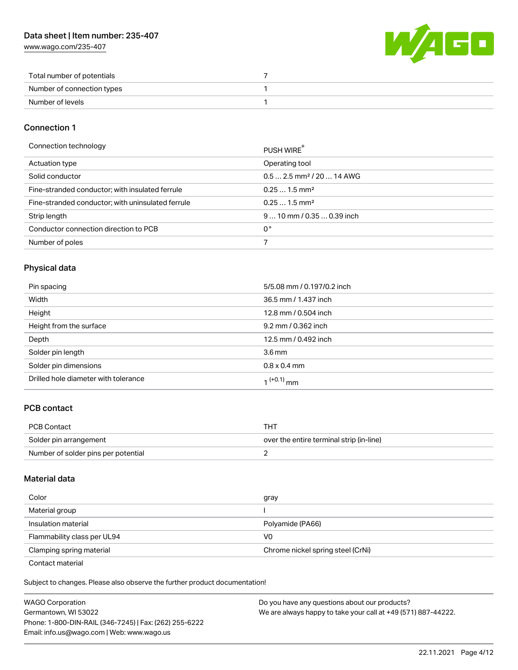## Data sheet | Item number: 235-407

[www.wago.com/235-407](http://www.wago.com/235-407)



| Total number of potentials |  |
|----------------------------|--|
| Number of connection types |  |
| Number of levels           |  |

#### Connection 1

| Connection technology                             | PUSH WIRE                              |
|---------------------------------------------------|----------------------------------------|
| Actuation type                                    | Operating tool                         |
| Solid conductor                                   | $0.5$ 2.5 mm <sup>2</sup> / 20  14 AWG |
| Fine-stranded conductor; with insulated ferrule   | $0.251.5$ mm <sup>2</sup>              |
| Fine-stranded conductor; with uninsulated ferrule | $0.251.5$ mm <sup>2</sup>              |
| Strip length                                      | $910$ mm / 0.35  0.39 inch             |
| Conductor connection direction to PCB             | 0°                                     |
| Number of poles                                   |                                        |

## Physical data

| Pin spacing                          | 5/5.08 mm / 0.197/0.2 inch |
|--------------------------------------|----------------------------|
| Width                                | 36.5 mm / 1.437 inch       |
| Height                               | 12.8 mm / 0.504 inch       |
| Height from the surface              | 9.2 mm / 0.362 inch        |
| Depth                                | 12.5 mm / 0.492 inch       |
| Solder pin length                    | 3.6 <sub>mm</sub>          |
| Solder pin dimensions                | $0.8 \times 0.4$ mm        |
| Drilled hole diameter with tolerance | 1 <sup>(+0.1)</sup> mm     |

## PCB contact

| <b>PCB Contact</b>                  | тнт                                      |
|-------------------------------------|------------------------------------------|
| Solder pin arrangement              | over the entire terminal strip (in-line) |
| Number of solder pins per potential |                                          |

#### Material data

| Color                                            | gray                              |
|--------------------------------------------------|-----------------------------------|
| Material group                                   |                                   |
| Insulation material                              | Polyamide (PA66)                  |
| Flammability class per UL94                      | V0                                |
| Clamping spring material                         | Chrome nickel spring steel (CrNi) |
| $\sim$ $\sim$ $\sim$ $\sim$ $\sim$ $\sim$ $\sim$ |                                   |

Contact material

Subject to changes. Please also observe the further product documentation!  $\mathbf{E}$ 

| <b>WAGO Corporation</b>                                | Do you have any questions about our products?                 |
|--------------------------------------------------------|---------------------------------------------------------------|
| Germantown, WI 53022                                   | We are always happy to take your call at +49 (571) 887-44222. |
| Phone: 1-800-DIN-RAIL (346-7245)   Fax: (262) 255-6222 |                                                               |
| Email: info.us@wago.com   Web: www.wago.us             |                                                               |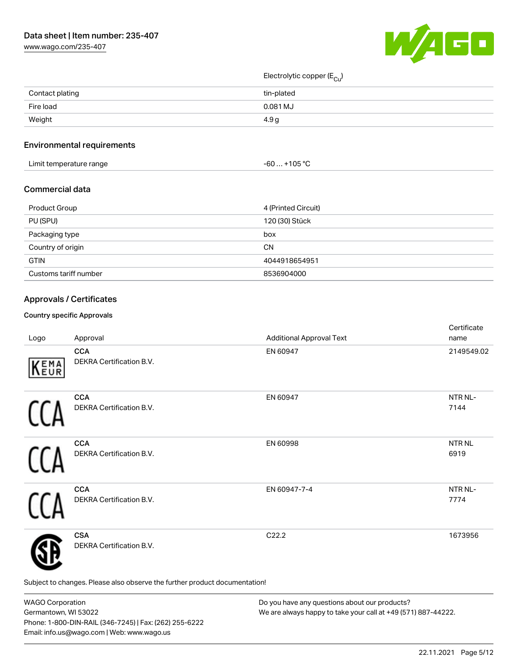

Electrolytic copper (E<sub>Cu</sub>)

| Contact plating | tin-plated |
|-----------------|------------|
| Fire load       | 0.081 MJ   |
| Weight          | 4.9 g      |
|                 |            |

#### Environmental requirements

| Limit temperature range | $. +105 °C$<br>-60 |
|-------------------------|--------------------|
|-------------------------|--------------------|

#### Commercial data

| Product Group         | 4 (Printed Circuit) |
|-----------------------|---------------------|
| PU (SPU)              | 120 (30) Stück      |
| Packaging type        | box                 |
| Country of origin     | CΝ                  |
| <b>GTIN</b>           | 4044918654951       |
| Customs tariff number | 8536904000          |

## Approvals / Certificates

#### Country specific Approvals

| Logo | Approval                                                                   | <b>Additional Approval Text</b> | Certificate<br>name         |
|------|----------------------------------------------------------------------------|---------------------------------|-----------------------------|
| KEMA | <b>CCA</b><br>DEKRA Certification B.V.                                     | EN 60947                        | 2149549.02                  |
|      | <b>CCA</b><br>DEKRA Certification B.V.                                     | EN 60947                        | NTR <sub>NL</sub> -<br>7144 |
|      | <b>CCA</b><br>DEKRA Certification B.V.                                     | EN 60998                        | NTR NL<br>6919              |
|      | <b>CCA</b><br>DEKRA Certification B.V.                                     | EN 60947-7-4                    | NTR NL-<br>7774             |
|      | <b>CSA</b><br>DEKRA Certification B.V.                                     | C22.2                           | 1673956                     |
|      | Subject to changes. Please also observe the further product documentation! |                                 |                             |

WAGO Corporation Germantown, WI 53022 Phone: 1-800-DIN-RAIL (346-7245) | Fax: (262) 255-6222 Email: info.us@wago.com | Web: www.wago.us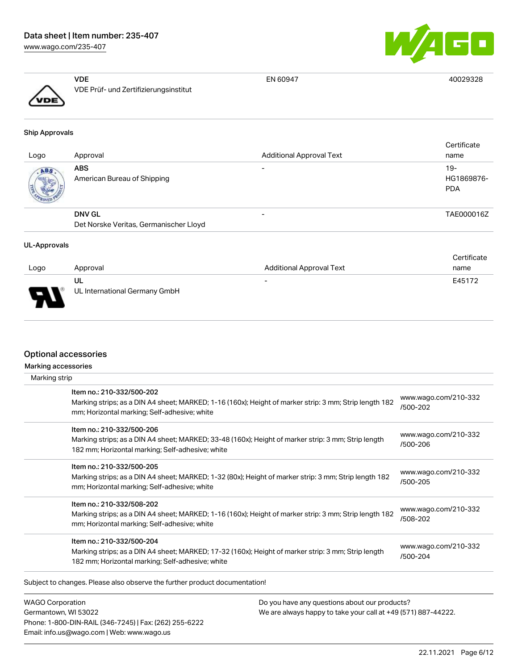## Data sheet | Item number: 235-407

[www.wago.com/235-407](http://www.wago.com/235-407)



EN 60947 40029328

|               | VDF                                   |
|---------------|---------------------------------------|
| $\sqrt{v}$ DE | VDE Prüf- und Zertifizierungsinstitut |
|               |                                       |

#### Ship Approvals

| Logo | Approval                                  | <b>Additional Approval Text</b> | Certificate<br>name             |
|------|-------------------------------------------|---------------------------------|---------------------------------|
| ABS. | <b>ABS</b><br>American Bureau of Shipping |                                 | 19-<br>HG1869876-<br><b>PDA</b> |
|      | <b>DNV GL</b>                             | -                               | TAE000016Z                      |
|      | Det Norske Veritas, Germanischer Lloyd    |                                 |                                 |

#### UL-Approvals

|                                 |                               |                                 | Certificate |
|---------------------------------|-------------------------------|---------------------------------|-------------|
| Logo                            | Approval                      | <b>Additional Approval Text</b> | name        |
|                                 | UL                            | $\overline{\phantom{0}}$        | E45172      |
| $\overline{\phantom{0}}$<br>. . | UL International Germany GmbH |                                 |             |

#### Optional accessories

| Marking strip | Marking accessories                                                                                                                                                                  |                                  |
|---------------|--------------------------------------------------------------------------------------------------------------------------------------------------------------------------------------|----------------------------------|
|               | Item no.: 210-332/500-202<br>Marking strips; as a DIN A4 sheet; MARKED; 1-16 (160x); Height of marker strip: 3 mm; Strip length 182<br>mm; Horizontal marking; Self-adhesive; white  | www.wago.com/210-332<br>/500-202 |
|               | Item no.: 210-332/500-206<br>Marking strips; as a DIN A4 sheet; MARKED; 33-48 (160x); Height of marker strip: 3 mm; Strip length<br>182 mm; Horizontal marking; Self-adhesive; white | www.wago.com/210-332<br>/500-206 |
|               | Item no.: 210-332/500-205<br>Marking strips; as a DIN A4 sheet; MARKED; 1-32 (80x); Height of marker strip: 3 mm; Strip length 182<br>mm; Horizontal marking; Self-adhesive; white   | www.wago.com/210-332<br>/500-205 |
|               | Item no.: 210-332/508-202<br>Marking strips; as a DIN A4 sheet; MARKED; 1-16 (160x); Height of marker strip: 3 mm; Strip length 182<br>mm; Horizontal marking; Self-adhesive; white  | www.wago.com/210-332<br>/508-202 |
|               | Item no.: 210-332/500-204<br>Marking strips; as a DIN A4 sheet; MARKED; 17-32 (160x); Height of marker strip: 3 mm; Strip length<br>182 mm; Horizontal marking; Self-adhesive; white | www.wago.com/210-332<br>/500-204 |

Subject to changes. Please also observe the further product documentation!

WAGO Corporation Germantown, WI 53022 Phone: 1-800-DIN-RAIL (346-7245) | Fax: (262) 255-6222 Email: info.us@wago.com | Web: www.wago.us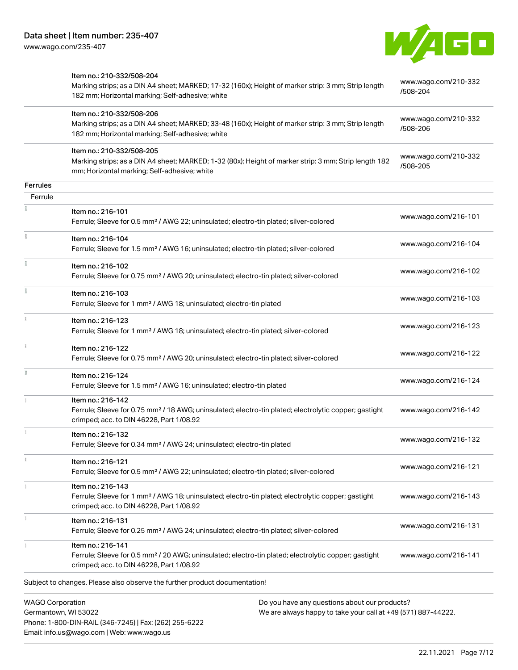

|                 | Item no.: 210-332/508-204                                                                                                                               |                                  |
|-----------------|---------------------------------------------------------------------------------------------------------------------------------------------------------|----------------------------------|
|                 | Marking strips; as a DIN A4 sheet; MARKED; 17-32 (160x); Height of marker strip: 3 mm; Strip length<br>182 mm; Horizontal marking; Self-adhesive; white | www.wago.com/210-332<br>/508-204 |
|                 | Item no.: 210-332/508-206                                                                                                                               | www.wago.com/210-332             |
|                 | Marking strips; as a DIN A4 sheet; MARKED; 33-48 (160x); Height of marker strip: 3 mm; Strip length                                                     | /508-206                         |
|                 | 182 mm; Horizontal marking; Self-adhesive; white                                                                                                        |                                  |
|                 | Item no.: 210-332/508-205                                                                                                                               | www.wago.com/210-332             |
|                 | Marking strips; as a DIN A4 sheet; MARKED; 1-32 (80x); Height of marker strip: 3 mm; Strip length 182<br>mm; Horizontal marking; Self-adhesive; white   | /508-205                         |
| <b>Ferrules</b> |                                                                                                                                                         |                                  |
| Ferrule         |                                                                                                                                                         |                                  |
|                 | Item no.: 216-101                                                                                                                                       |                                  |
|                 | Ferrule; Sleeve for 0.5 mm <sup>2</sup> / AWG 22; uninsulated; electro-tin plated; silver-colored                                                       | www.wago.com/216-101             |
| š               | Item no.: 216-104                                                                                                                                       |                                  |
|                 | Ferrule; Sleeve for 1.5 mm <sup>2</sup> / AWG 16; uninsulated; electro-tin plated; silver-colored                                                       | www.wago.com/216-104             |
|                 | Item no.: 216-102                                                                                                                                       |                                  |
|                 | Ferrule; Sleeve for 0.75 mm <sup>2</sup> / AWG 20; uninsulated; electro-tin plated; silver-colored                                                      | www.wago.com/216-102             |
|                 | Item no.: 216-103                                                                                                                                       |                                  |
|                 | Ferrule; Sleeve for 1 mm <sup>2</sup> / AWG 18; uninsulated; electro-tin plated                                                                         | www.wago.com/216-103             |
|                 | Item no.: 216-123                                                                                                                                       |                                  |
|                 | Ferrule; Sleeve for 1 mm <sup>2</sup> / AWG 18; uninsulated; electro-tin plated; silver-colored                                                         | www.wago.com/216-123             |
|                 | Item no.: 216-122                                                                                                                                       |                                  |
|                 | Ferrule; Sleeve for 0.75 mm <sup>2</sup> / AWG 20; uninsulated; electro-tin plated; silver-colored                                                      | www.wago.com/216-122             |
| Ĭ.              | Item no.: 216-124                                                                                                                                       |                                  |
|                 | Ferrule; Sleeve for 1.5 mm <sup>2</sup> / AWG 16; uninsulated; electro-tin plated                                                                       | www.wago.com/216-124             |
|                 | Item no.: 216-142                                                                                                                                       |                                  |
|                 | Ferrule; Sleeve for 0.75 mm <sup>2</sup> / 18 AWG; uninsulated; electro-tin plated; electrolytic copper; gastight                                       | www.wago.com/216-142             |
|                 | crimped; acc. to DIN 46228, Part 1/08.92                                                                                                                |                                  |
|                 | Item no.: 216-132                                                                                                                                       |                                  |
|                 | Ferrule; Sleeve for 0.34 mm <sup>2</sup> / AWG 24; uninsulated; electro-tin plated                                                                      | www.wago.com/216-132             |
| î.              | Item no.: 216-121                                                                                                                                       |                                  |
|                 | Ferrule; Sleeve for 0.5 mm <sup>2</sup> / AWG 22; uninsulated; electro-tin plated; silver-colored                                                       | www.wago.com/216-121             |
|                 | Item no.: 216-143                                                                                                                                       |                                  |
|                 | Ferrule; Sleeve for 1 mm <sup>2</sup> / AWG 18; uninsulated; electro-tin plated; electrolytic copper; gastight                                          | www.wago.com/216-143             |
|                 | crimped; acc. to DIN 46228, Part 1/08.92                                                                                                                |                                  |
|                 | Item no.: 216-131                                                                                                                                       |                                  |
|                 | Ferrule; Sleeve for 0.25 mm <sup>2</sup> / AWG 24; uninsulated; electro-tin plated; silver-colored                                                      | www.wago.com/216-131             |
|                 | Item no.: 216-141                                                                                                                                       |                                  |
|                 | Ferrule; Sleeve for 0.5 mm <sup>2</sup> / 20 AWG; uninsulated; electro-tin plated; electrolytic copper; gastight                                        | www.wago.com/216-141             |
|                 | crimped; acc. to DIN 46228, Part 1/08.92                                                                                                                |                                  |
|                 | Subject to changes. Please also observe the further product documentation!                                                                              |                                  |
|                 |                                                                                                                                                         |                                  |

WAGO Corporation Germantown, WI 53022 Phone: 1-800-DIN-RAIL (346-7245) | Fax: (262) 255-6222 Email: info.us@wago.com | Web: www.wago.us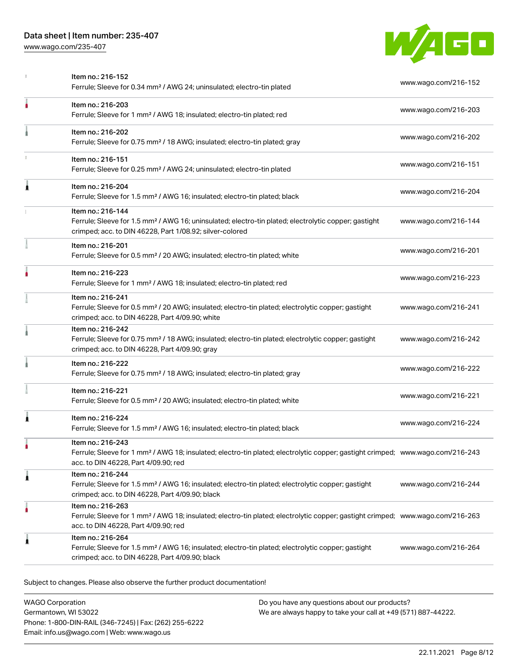

| ۸<br>Item no.: 216-203<br>Ferrule; Sleeve for 1 mm <sup>2</sup> / AWG 18; insulated; electro-tin plated; red<br>Item no.: 216-202<br>Ferrule; Sleeve for 0.75 mm <sup>2</sup> / 18 AWG; insulated; electro-tin plated; gray<br>Item no.: 216-151<br>Ferrule; Sleeve for 0.25 mm <sup>2</sup> / AWG 24; uninsulated; electro-tin plated<br>Item no.: 216-204<br>1<br>Ferrule; Sleeve for 1.5 mm <sup>2</sup> / AWG 16; insulated; electro-tin plated; black<br>Item no.: 216-144<br>Ferrule; Sleeve for 1.5 mm <sup>2</sup> / AWG 16; uninsulated; electro-tin plated; electrolytic copper; gastight<br>crimped; acc. to DIN 46228, Part 1/08.92; silver-colored<br>Item no.: 216-201<br>Ferrule; Sleeve for 0.5 mm <sup>2</sup> / 20 AWG; insulated; electro-tin plated; white<br>Item no.: 216-223<br>Ferrule; Sleeve for 1 mm <sup>2</sup> / AWG 18; insulated; electro-tin plated; red<br>Item no.: 216-241<br>Ferrule; Sleeve for 0.5 mm <sup>2</sup> / 20 AWG; insulated; electro-tin plated; electrolytic copper; gastight<br>crimped; acc. to DIN 46228, Part 4/09.90; white<br>Item no.: 216-242<br>Ferrule; Sleeve for 0.75 mm <sup>2</sup> / 18 AWG; insulated; electro-tin plated; electrolytic copper; gastight<br>crimped; acc. to DIN 46228, Part 4/09.90; gray<br>Item no.: 216-222<br>Ferrule; Sleeve for 0.75 mm <sup>2</sup> / 18 AWG; insulated; electro-tin plated; gray<br>Item no.: 216-221<br>Ferrule; Sleeve for 0.5 mm <sup>2</sup> / 20 AWG; insulated; electro-tin plated; white<br>Item no.: 216-224<br>1<br>Ferrule; Sleeve for 1.5 mm <sup>2</sup> / AWG 16; insulated; electro-tin plated; black<br>Item no.: 216-243<br>Ferrule; Sleeve for 1 mm <sup>2</sup> / AWG 18; insulated; electro-tin plated; electrolytic copper; gastight crimped; www.wago.com/216-243<br>acc. to DIN 46228, Part 4/09.90; red<br>Item no.: 216-244<br>1<br>Ferrule; Sleeve for 1.5 mm <sup>2</sup> / AWG 16; insulated; electro-tin plated; electrolytic copper; gastight<br>crimped; acc. to DIN 46228, Part 4/09.90; black<br>Item no.: 216-263<br>٥<br>Ferrule; Sleeve for 1 mm <sup>2</sup> / AWG 18; insulated; electro-tin plated; electrolytic copper; gastight crimped; www.wago.com/216-263<br>acc. to DIN 46228, Part 4/09.90; red<br>Item no.: 216-264<br>1 | Item no.: 216-152<br>Ferrule; Sleeve for 0.34 mm <sup>2</sup> / AWG 24; uninsulated; electro-tin plated        | www.wago.com/216-152 |
|-------------------------------------------------------------------------------------------------------------------------------------------------------------------------------------------------------------------------------------------------------------------------------------------------------------------------------------------------------------------------------------------------------------------------------------------------------------------------------------------------------------------------------------------------------------------------------------------------------------------------------------------------------------------------------------------------------------------------------------------------------------------------------------------------------------------------------------------------------------------------------------------------------------------------------------------------------------------------------------------------------------------------------------------------------------------------------------------------------------------------------------------------------------------------------------------------------------------------------------------------------------------------------------------------------------------------------------------------------------------------------------------------------------------------------------------------------------------------------------------------------------------------------------------------------------------------------------------------------------------------------------------------------------------------------------------------------------------------------------------------------------------------------------------------------------------------------------------------------------------------------------------------------------------------------------------------------------------------------------------------------------------------------------------------------------------------------------------------------------------------------------------------------------------------------------------------------------------------------------------------------------------------------------|----------------------------------------------------------------------------------------------------------------|----------------------|
|                                                                                                                                                                                                                                                                                                                                                                                                                                                                                                                                                                                                                                                                                                                                                                                                                                                                                                                                                                                                                                                                                                                                                                                                                                                                                                                                                                                                                                                                                                                                                                                                                                                                                                                                                                                                                                                                                                                                                                                                                                                                                                                                                                                                                                                                                     |                                                                                                                | www.wago.com/216-203 |
|                                                                                                                                                                                                                                                                                                                                                                                                                                                                                                                                                                                                                                                                                                                                                                                                                                                                                                                                                                                                                                                                                                                                                                                                                                                                                                                                                                                                                                                                                                                                                                                                                                                                                                                                                                                                                                                                                                                                                                                                                                                                                                                                                                                                                                                                                     |                                                                                                                | www.wago.com/216-202 |
|                                                                                                                                                                                                                                                                                                                                                                                                                                                                                                                                                                                                                                                                                                                                                                                                                                                                                                                                                                                                                                                                                                                                                                                                                                                                                                                                                                                                                                                                                                                                                                                                                                                                                                                                                                                                                                                                                                                                                                                                                                                                                                                                                                                                                                                                                     |                                                                                                                | www.wago.com/216-151 |
|                                                                                                                                                                                                                                                                                                                                                                                                                                                                                                                                                                                                                                                                                                                                                                                                                                                                                                                                                                                                                                                                                                                                                                                                                                                                                                                                                                                                                                                                                                                                                                                                                                                                                                                                                                                                                                                                                                                                                                                                                                                                                                                                                                                                                                                                                     |                                                                                                                | www.wago.com/216-204 |
|                                                                                                                                                                                                                                                                                                                                                                                                                                                                                                                                                                                                                                                                                                                                                                                                                                                                                                                                                                                                                                                                                                                                                                                                                                                                                                                                                                                                                                                                                                                                                                                                                                                                                                                                                                                                                                                                                                                                                                                                                                                                                                                                                                                                                                                                                     |                                                                                                                | www.wago.com/216-144 |
|                                                                                                                                                                                                                                                                                                                                                                                                                                                                                                                                                                                                                                                                                                                                                                                                                                                                                                                                                                                                                                                                                                                                                                                                                                                                                                                                                                                                                                                                                                                                                                                                                                                                                                                                                                                                                                                                                                                                                                                                                                                                                                                                                                                                                                                                                     |                                                                                                                | www.wago.com/216-201 |
|                                                                                                                                                                                                                                                                                                                                                                                                                                                                                                                                                                                                                                                                                                                                                                                                                                                                                                                                                                                                                                                                                                                                                                                                                                                                                                                                                                                                                                                                                                                                                                                                                                                                                                                                                                                                                                                                                                                                                                                                                                                                                                                                                                                                                                                                                     |                                                                                                                | www.wago.com/216-223 |
|                                                                                                                                                                                                                                                                                                                                                                                                                                                                                                                                                                                                                                                                                                                                                                                                                                                                                                                                                                                                                                                                                                                                                                                                                                                                                                                                                                                                                                                                                                                                                                                                                                                                                                                                                                                                                                                                                                                                                                                                                                                                                                                                                                                                                                                                                     |                                                                                                                | www.wago.com/216-241 |
|                                                                                                                                                                                                                                                                                                                                                                                                                                                                                                                                                                                                                                                                                                                                                                                                                                                                                                                                                                                                                                                                                                                                                                                                                                                                                                                                                                                                                                                                                                                                                                                                                                                                                                                                                                                                                                                                                                                                                                                                                                                                                                                                                                                                                                                                                     |                                                                                                                | www.wago.com/216-242 |
|                                                                                                                                                                                                                                                                                                                                                                                                                                                                                                                                                                                                                                                                                                                                                                                                                                                                                                                                                                                                                                                                                                                                                                                                                                                                                                                                                                                                                                                                                                                                                                                                                                                                                                                                                                                                                                                                                                                                                                                                                                                                                                                                                                                                                                                                                     |                                                                                                                | www.wago.com/216-222 |
|                                                                                                                                                                                                                                                                                                                                                                                                                                                                                                                                                                                                                                                                                                                                                                                                                                                                                                                                                                                                                                                                                                                                                                                                                                                                                                                                                                                                                                                                                                                                                                                                                                                                                                                                                                                                                                                                                                                                                                                                                                                                                                                                                                                                                                                                                     |                                                                                                                | www.wago.com/216-221 |
|                                                                                                                                                                                                                                                                                                                                                                                                                                                                                                                                                                                                                                                                                                                                                                                                                                                                                                                                                                                                                                                                                                                                                                                                                                                                                                                                                                                                                                                                                                                                                                                                                                                                                                                                                                                                                                                                                                                                                                                                                                                                                                                                                                                                                                                                                     |                                                                                                                | www.wago.com/216-224 |
|                                                                                                                                                                                                                                                                                                                                                                                                                                                                                                                                                                                                                                                                                                                                                                                                                                                                                                                                                                                                                                                                                                                                                                                                                                                                                                                                                                                                                                                                                                                                                                                                                                                                                                                                                                                                                                                                                                                                                                                                                                                                                                                                                                                                                                                                                     |                                                                                                                |                      |
|                                                                                                                                                                                                                                                                                                                                                                                                                                                                                                                                                                                                                                                                                                                                                                                                                                                                                                                                                                                                                                                                                                                                                                                                                                                                                                                                                                                                                                                                                                                                                                                                                                                                                                                                                                                                                                                                                                                                                                                                                                                                                                                                                                                                                                                                                     |                                                                                                                | www.wago.com/216-244 |
|                                                                                                                                                                                                                                                                                                                                                                                                                                                                                                                                                                                                                                                                                                                                                                                                                                                                                                                                                                                                                                                                                                                                                                                                                                                                                                                                                                                                                                                                                                                                                                                                                                                                                                                                                                                                                                                                                                                                                                                                                                                                                                                                                                                                                                                                                     |                                                                                                                |                      |
| crimped; acc. to DIN 46228, Part 4/09.90; black                                                                                                                                                                                                                                                                                                                                                                                                                                                                                                                                                                                                                                                                                                                                                                                                                                                                                                                                                                                                                                                                                                                                                                                                                                                                                                                                                                                                                                                                                                                                                                                                                                                                                                                                                                                                                                                                                                                                                                                                                                                                                                                                                                                                                                     | Ferrule; Sleeve for 1.5 mm <sup>2</sup> / AWG 16; insulated; electro-tin plated; electrolytic copper; gastight | www.wago.com/216-264 |

Subject to changes. Please also observe the further product documentation!

WAGO Corporation Germantown, WI 53022 Phone: 1-800-DIN-RAIL (346-7245) | Fax: (262) 255-6222 Email: info.us@wago.com | Web: www.wago.us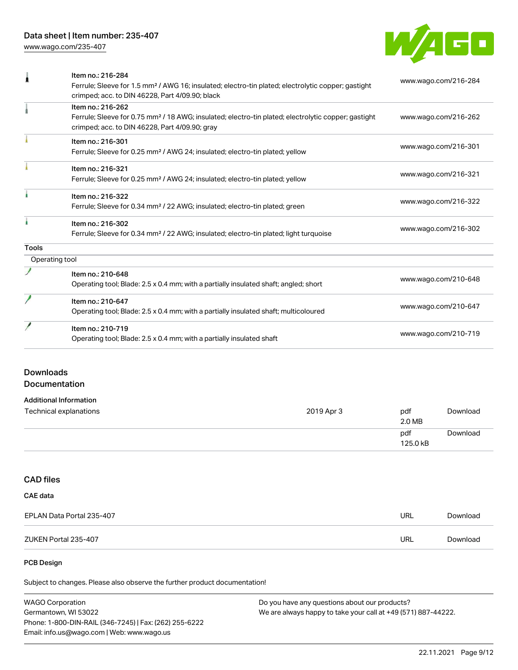

| л              | Item no.: 216-284                                                                                                                                                 | www.wago.com/216-284 |
|----------------|-------------------------------------------------------------------------------------------------------------------------------------------------------------------|----------------------|
|                | Ferrule; Sleeve for 1.5 mm <sup>2</sup> / AWG 16; insulated; electro-tin plated; electrolytic copper; gastight<br>crimped; acc. to DIN 46228, Part 4/09.90; black |                      |
|                | Item no.: 216-262                                                                                                                                                 |                      |
|                | Ferrule; Sleeve for 0.75 mm <sup>2</sup> / 18 AWG; insulated; electro-tin plated; electrolytic copper; gastight<br>crimped; acc. to DIN 46228, Part 4/09.90; gray | www.wago.com/216-262 |
|                | Item no.: 216-301                                                                                                                                                 |                      |
|                | Ferrule; Sleeve for 0.25 mm <sup>2</sup> / AWG 24; insulated; electro-tin plated; yellow                                                                          | www.wago.com/216-301 |
|                | Item no.: 216-321                                                                                                                                                 |                      |
|                | Ferrule; Sleeve for 0.25 mm <sup>2</sup> / AWG 24; insulated; electro-tin plated; yellow                                                                          | www.wago.com/216-321 |
|                | Item no.: 216-322                                                                                                                                                 | www.wago.com/216-322 |
|                | Ferrule; Sleeve for 0.34 mm <sup>2</sup> / 22 AWG; insulated; electro-tin plated; green                                                                           |                      |
|                | Item no.: 216-302                                                                                                                                                 | www.wago.com/216-302 |
|                | Ferrule; Sleeve for 0.34 mm <sup>2</sup> / 22 AWG; insulated; electro-tin plated; light turquoise                                                                 |                      |
| <b>Tools</b>   |                                                                                                                                                                   |                      |
| Operating tool |                                                                                                                                                                   |                      |
|                | Item no.: 210-648                                                                                                                                                 |                      |
|                | Operating tool; Blade: 2.5 x 0.4 mm; with a partially insulated shaft; angled; short                                                                              | www.wago.com/210-648 |
|                | Item no.: 210-647                                                                                                                                                 |                      |
|                | Operating tool; Blade: 2.5 x 0.4 mm; with a partially insulated shaft; multicoloured                                                                              | www.wago.com/210-647 |
|                | Item no.: 210-719                                                                                                                                                 |                      |
|                | Operating tool; Blade: 2.5 x 0.4 mm; with a partially insulated shaft                                                                                             | www.wago.com/210-719 |

## Downloads Documentation

| <b>Additional Information</b> |            |                 |          |
|-------------------------------|------------|-----------------|----------|
| Technical explanations        | 2019 Apr 3 | pdf<br>2.0 MB   | Download |
|                               |            | pdf<br>125.0 kB | Download |

# CAD files

| CAE data                  |     |          |
|---------------------------|-----|----------|
| EPLAN Data Portal 235-407 | URL | Download |
| ZUKEN Portal 235-407      | URL | Download |

#### PCB Design

Subject to changes. Please also observe the further product documentation!

| <b>WAGO Corporation</b>                                | Do you have any questions about our products?                 |
|--------------------------------------------------------|---------------------------------------------------------------|
| Germantown, WI 53022                                   | We are always happy to take your call at +49 (571) 887-44222. |
| Phone: 1-800-DIN-RAIL (346-7245)   Fax: (262) 255-6222 |                                                               |
| Email: info.us@wago.com   Web: www.wago.us             |                                                               |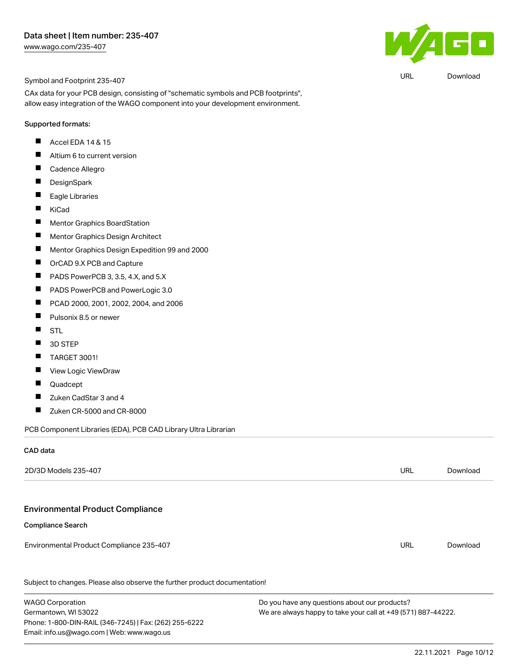

URL [Download](https://www.wago.com/global/d/UltraLibrarian_URLS_235-407)

Symbol and Footprint 235-407

CAx data for your PCB design, consisting of "schematic symbols and PCB footprints", allow easy integration of the WAGO component into your development environment.

#### Supported formats:

- $\blacksquare$ Accel EDA 14 & 15
- $\blacksquare$ Altium 6 to current version
- $\blacksquare$ Cadence Allegro
- $\blacksquare$ **DesignSpark**
- $\blacksquare$ Eagle Libraries
- $\blacksquare$ KiCad
- $\blacksquare$ Mentor Graphics BoardStation
- $\blacksquare$ Mentor Graphics Design Architect
- $\blacksquare$ Mentor Graphics Design Expedition 99 and 2000
- $\blacksquare$ OrCAD 9.X PCB and Capture
- $\blacksquare$ PADS PowerPCB 3, 3.5, 4.X, and 5.X
- $\blacksquare$ PADS PowerPCB and PowerLogic 3.0
- $\blacksquare$ PCAD 2000, 2001, 2002, 2004, and 2006
- $\blacksquare$ Pulsonix 8.5 or newer
- $\blacksquare$ STL
- $\blacksquare$ 3D STEP
- П TARGET 3001!
- $\blacksquare$ View Logic ViewDraw
- $\blacksquare$ Quadcept
- $\blacksquare$ Zuken CadStar 3 and 4
- $\blacksquare$ Zuken CR-5000 and CR-8000

PCB Component Libraries (EDA), PCB CAD Library Ultra Librarian

Phone: 1-800-DIN-RAIL (346-7245) | Fax: (262) 255-6222

Email: info.us@wago.com | Web: www.wago.us

#### CAD data

| 2D/3D Models 235-407                                                       |                                               | <b>URL</b>                                                    | Download |  |
|----------------------------------------------------------------------------|-----------------------------------------------|---------------------------------------------------------------|----------|--|
|                                                                            |                                               |                                                               |          |  |
| <b>Environmental Product Compliance</b>                                    |                                               |                                                               |          |  |
| <b>Compliance Search</b>                                                   |                                               |                                                               |          |  |
| Environmental Product Compliance 235-407                                   |                                               | URL                                                           | Download |  |
| Subject to changes. Please also observe the further product documentation! |                                               |                                                               |          |  |
| <b>WAGO Corporation</b>                                                    | Do you have any questions about our products? |                                                               |          |  |
| Germantown, WI 53022                                                       |                                               | We are always happy to take your call at +49 (571) 887-44222. |          |  |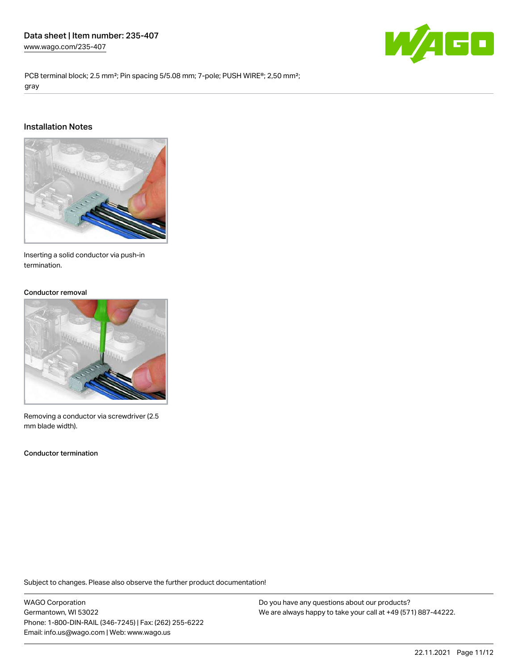

PCB terminal block; 2.5 mm<sup>2</sup>; Pin spacing 5/5.08 mm; 7-pole; PUSH WIRE<sup>®</sup>; 2,50 mm<sup>2</sup>; gray

#### Installation Notes



Inserting a solid conductor via push-in termination.

#### Conductor removal



Removing a conductor via screwdriver (2.5 mm blade width).

Conductor termination

Subject to changes. Please also observe the further product documentation!

WAGO Corporation Germantown, WI 53022 Phone: 1-800-DIN-RAIL (346-7245) | Fax: (262) 255-6222 Email: info.us@wago.com | Web: www.wago.us